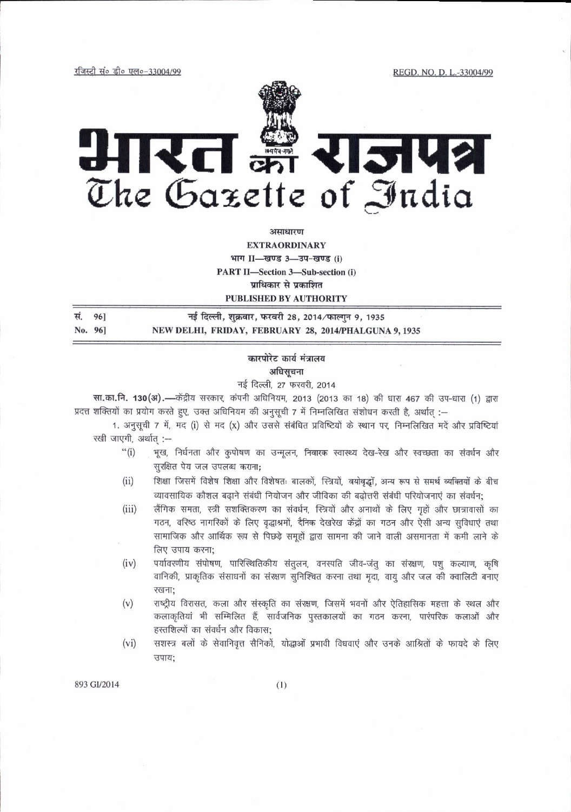रजिस्टी सं० डी० एल०-33004/99

REGD. NO. D. L.-33004/99



असाधारण

**EXTRAORDINARY** भाग II-खण्ड 3-उप-खण्ड (i) **PART II-Section 3-Sub-section (i)** प्राधिकार से प्रकाशित

PUBLISHED BY AUTHORITY

सं. 96] नई दिल्ली, शुक्रवार, फरवरी 28, 2014/फाल्गुन 9, 1935 NEW DELHI, FRIDAY, FEBRUARY 28, 2014/PHALGUNA 9, 1935 No. 961

## कारपोरेट कार्य मंत्रालय अधिसूचना

नई दिल्ली, 27 फरवरी, 2014

सा.का.नि. 130(अ).—केंद्रीय सरकार, कंपनी अधिनियम, 2013 (2013 का 18) की धारा 467 की उप-धारा (1) द्वारा प्रदत्त शक्तियों का प्रयोग करते हुए, उक्त अधिनियम की अनुसूची 7 में निम्नलिखित संशोधन करती है, अर्थात :--

1. अनुसूची 7 में, मद (i) से मद (x) और उससे संबंधित प्रविष्टियों के स्थान पर, निम्नलिखित मदें और प्रविष्टियां रखी जाएगी, अर्थात :--

- भूख, निर्धनता और कुपोषण का उन्मूलन, निवारक स्वास्थ्य देख-रेख और स्वच्छता का संवर्धन और  $``(i)$ सुरक्षित पेय जल उपलब्ध कराना;
- $(ii)$ शिक्षा जिसमें विशेष शिक्षा और विशेषतः बालकों, स्त्रियों, वयोवृद्धों, अन्य रूप से समर्थ व्यक्तियों के बीच व्यावसायिक कौशल बढ़ाने संबंधी नियोजन और जीविका की बढ़ोत्तरी संबंधी परियोजनाएं का संवर्धन;
- लैंगिक समता, स्त्री सशक्तिकरण का संवर्धन, स्त्रियों और अनाथों के लिए गृहों और छात्रावासों का  $(iii)$ गठन, वरिष्ठ नागरिकों के लिए वृद्धाश्रमों, दैनिक देखरेख केंद्रों का गठन और ऐसी अन्य सुविधाएं तथा सामाजिक और आर्थिक रूप से पिछड़े समूहों द्वारा सामना की जाने वाली असमानता में कमी लाने के लिए उपाय करना;
- पर्यावरणीय संपोषण, पारिस्थितिकीय संतुलन, वनस्पति जीव-जंतु का संरक्षण, पशु कल्याण, कृषि  $(iv)$ वानिकी, प्राकृतिक संसाधनों का संख्शण सुनिश्चित करना तथा मुदा, वायु और जल की क्वालिटी बनाए रखना:
- $(v)$ राष्ट्रीय विरासत, कला और संस्कृति का संख्शण, जिसमें भवनों और ऐतिहासिक महत्ता के स्थल और कलाकृतियां भी सम्मिलित हैं, सार्वजनिक पुस्तकालयों का गठन करना, पारंपरिक कलाओं और हस्तशिल्पों का संवर्धन और विकास;
- सशस्त्र बलों के सेवानिवृत्त सैनिकों, योद्धाओं प्रभावी विधवाएं और उनके आश्रितों के फायदे के लिए  $(vi)$ उपाय;

893 GI/2014

 $(1)$